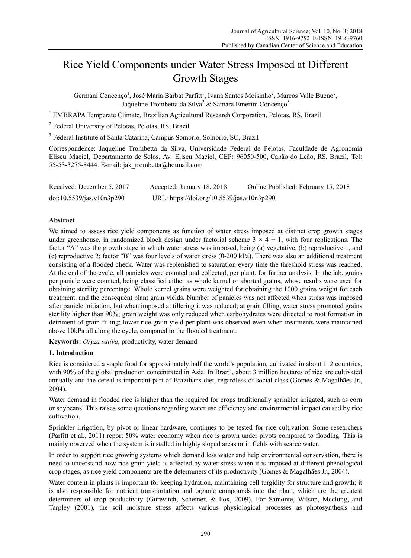# Rice Yield Components under Water Stress Imposed at Different Growth Stages

Germani Concenço<sup>1</sup>, José Maria Barbat Parfitt<sup>1</sup>, Ivana Santos Moisinho<sup>2</sup>, Marcos Valle Bueno<sup>2</sup>, Jaqueline Trombetta da Silva<sup>2</sup> & Samara Emerim Concenço<sup>3</sup>

<sup>1</sup> EMBRAPA Temperate Climate, Brazilian Agricultural Research Corporation, Pelotas, RS, Brazil

<sup>2</sup> Federal University of Pelotas, Pelotas, RS, Brazil

<sup>3</sup> Federal Institute of Santa Catarina, Campus Sombrio, Sombrio, SC, Brazil

Correspondence: Jaqueline Trombetta da Silva, Universidade Federal de Pelotas, Faculdade de Agronomia Eliseu Maciel, Departamento de Solos, Av. Eliseu Maciel, CEP: 96050-500, Capão do Leão, RS, Brazil, Tel: 55-53-3275-8444. E-mail: jak\_trombetta@hotmail.com

| Received: December 5, 2017 | Accepted: January 18, 2018                 | Online Published: February 15, 2018 |
|----------------------------|--------------------------------------------|-------------------------------------|
| doi:10.5539/jas.v10n3p290  | URL: https://doi.org/10.5539/jas.v10n3p290 |                                     |

# **Abstract**

We aimed to assess rice yield components as function of water stress imposed at distinct crop growth stages under greenhouse, in randomized block design under factorial scheme  $3 \times 4 + 1$ , with four replications. The factor "A" was the growth stage in which water stress was imposed, being (a) vegetative, (b) reproductive 1, and (c) reproductive 2; factor "B" was four levels of water stress (0-200 kPa). There was also an additional treatment consisting of a flooded check. Water was replenished to saturation every time the threshold stress was reached. At the end of the cycle, all panicles were counted and collected, per plant, for further analysis. In the lab, grains per panicle were counted, being classified either as whole kernel or aborted grains, whose results were used for obtaining sterility percentage. Whole kernel grains were weighted for obtaining the 1000 grains weight for each treatment, and the consequent plant grain yields. Number of panicles was not affected when stress was imposed after panicle initiation, but when imposed at tillering it was reduced; at grain filling, water stress promoted grains sterility higher than 90%; grain weight was only reduced when carbohydrates were directed to root formation in detriment of grain filling; lower rice grain yield per plant was observed even when treatments were maintained above 10kPa all along the cycle, compared to the flooded treatment.

**Keywords:** *Oryza sativa*, productivity, water demand

# **1. Introduction**

Rice is considered a staple food for approximately half the world's population, cultivated in about 112 countries, with 90% of the global production concentrated in Asia. In Brazil, about 3 million hectares of rice are cultivated annually and the cereal is important part of Brazilians diet, regardless of social class (Gomes & Magalhães Jr., 2004).

Water demand in flooded rice is higher than the required for crops traditionally sprinkler irrigated, such as corn or soybeans. This raises some questions regarding water use efficiency and environmental impact caused by rice cultivation.

Sprinkler irrigation, by pivot or linear hardware, continues to be tested for rice cultivation. Some researchers (Parfitt et al., 2011) report 50% water economy when rice is grown under pivots compared to flooding. This is mainly observed when the system is installed in highly sloped areas or in fields with scarce water.

In order to support rice growing systems which demand less water and help environmental conservation, there is need to understand how rice grain yield is affected by water stress when it is imposed at different phenological crop stages, as rice yield components are the determiners of its productivity (Gomes & Magalhães Jr., 2004).

Water content in plants is important for keeping hydration, maintaining cell turgidity for structure and growth; it is also responsible for nutrient transportation and organic compounds into the plant, which are the greatest determiners of crop productivity (Gurevitch, Scheiner, & Fox, 2009). For Samonte, Wilson, Mcclung, and Tarpley (2001), the soil moisture stress affects various physiological processes as photosynthesis and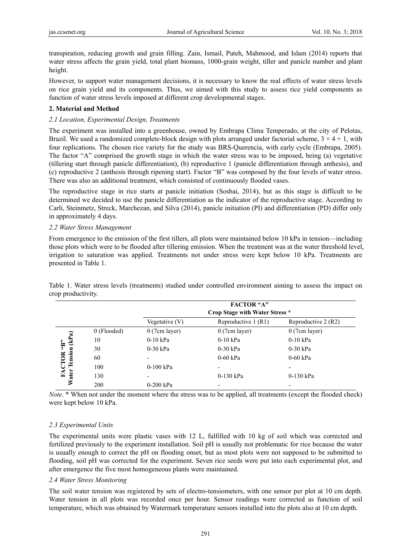transpiration, reducing growth and grain filling. Zain, Ismail, Puteh, Mahmood, and Islam (2014) reports that water stress affects the grain yield, total plant biomass, 1000-grain weight, tiller and panicle number and plant height.

However, to support water management decisions, it is necessary to know the real effects of water stress levels on rice grain yield and its components. Thus, we aimed with this study to assess rice yield components as function of water stress levels imposed at different crop developmental stages.

# **2. Material and Method**

## *2.1 Location, Experimental Design, Treatments*

The experiment was installed into a greenhouse, owned by Embrapa Clima Temperado, at the city of Pelotas, Brazil. We used a randomized complete-block design with plots arranged under factorial scheme,  $3 \times 4 + 1$ , with four replications. The chosen rice variety for the study was BRS-Querencia, with early cycle (Embrapa, 2005). The factor "A" comprised the growth stage in which the water stress was to be imposed, being (a) vegetative (tillering start through panicle differentiation), (b) reproductive 1 (panicle differentiation through anthesis), and (c) reproductive 2 (anthesis through ripening start). Factor "B" was composed by the four levels of water stress. There was also an additional treatment, which consisted of continuously flooded vases.

The reproductive stage in rice starts at panicle initiation (Sosbai, 2014), but as this stage is difficult to be determined we decided to use the panicle differentiation as the indicator of the reproductive stage. According to Carli, Steinmetz, Streck, Marchezan, and Silva (2014), panicle initiation (PI) and differentiation (PD) differ only in approximately 4 days.

## *2.2 Water Stress Management*

From emergence to the emission of the first tillers, all plots were maintained below 10 kPa in tension—including those plots which were to be flooded after tillering emission. When the treatment was at the water threshold level, irrigation to saturation was applied. Treatments not under stress were kept below 10 kPa. Treatments are presented in Table 1.

|                                                |               | <b>FACTOR "A"</b><br>Crop Stage with Water Stress * |                      |                     |
|------------------------------------------------|---------------|-----------------------------------------------------|----------------------|---------------------|
|                                                |               | Vegetative $(V)$                                    | Reproductive $1(R1)$ | Reproductive 2 (R2) |
| (kPa)<br><b>FACTOR "B"</b><br>Tension<br>Water | $0$ (Flooded) | 0(7cm layer)                                        | 0(7cm layer)         | 0(7cm layer)        |
|                                                | 10            | $0-10$ kPa                                          | $0-10$ kPa           | $0-10$ kPa          |
|                                                | 30            | $0-30$ kPa                                          | $0-30$ kPa           | $0-30$ kPa          |
|                                                | 60            | $\overline{\phantom{0}}$                            | $0-60$ kPa           | $0-60$ kPa          |
|                                                | 100           | $0-100$ kPa                                         |                      |                     |
|                                                | 130           | $\overline{\phantom{0}}$                            | $0-130$ kPa          | $0-130$ kPa         |
|                                                | 200           | $0-200$ kPa                                         |                      |                     |

Table 1. Water stress levels (treatments) studied under controlled environment aiming to assess the impact on crop productivity.

*Note*. \* When not under the moment where the stress was to be applied, all treatments (except the flooded check) were kept below 10 kPa.

# *2.3 Experimental Units*

The experimental units were plastic vases with 12 L, fulfilled with 10 kg of soil which was corrected and fertilized previously to the experiment installation. Soil pH is usually not problematic for rice because the water is usually enough to correct the pH on flooding onset, but as most plots were not supposed to be submitted to flooding, soil pH was corrected for the experiment. Seven rice seeds were put into each experimental plot, and after emergence the five most homogeneous plants were maintained.

## *2.4 Water Stress Monitoring*

The soil water tension was registered by sets of electro-tensiometers, with one sensor per plot at 10 cm depth. Water tension in all plots was recorded once per hour. Sensor readings were corrected as function of soil temperature, which was obtained by Watermark temperature sensors installed into the plots also at 10 cm depth.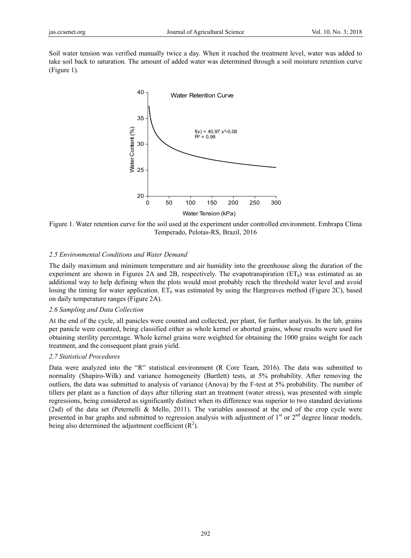Soil water tension was verified manually twice a day. When it reached the treatment level, water was added to take soil back to saturation. The amount of added water was determined through a soil moisture retention curve (Figure 1).



Figure 1. Water retention curve for the soil used at the experiment under controlled environment. Embrapa Clima Temperado, Pelotas-RS, Brazil, 2016

#### *2.5 Environmental Conditions and Water Demand*

The daily maximum and minimum temperature and air humidity into the greenhouse along the duration of the experiment are shown in Figures 2A and 2B, respectively. The evapotranspiration  $(ET_0)$  was estimated as an additional way to help defining when the plots would most probably reach the threshold water level and avoid losing the timing for water application.  $ET_0$  was estimated by using the Hargreaves method (Figure 2C), based on daily temperature ranges (Figure 2A).

#### *2.6 Sampling and Data Collection*

At the end of the cycle, all panicles were counted and collected, per plant, for further analysis. In the lab, grains per panicle were counted, being classified either as whole kernel or aborted grains, whose results were used for obtaining sterility percentage. Whole kernel grains were weighted for obtaining the 1000 grains weight for each treatment, and the consequent plant grain yield.

#### *2.7 Statistical Procedures*

Data were analyzed into the "R" statistical environment (R Core Team, 2016). The data was submitted to normality (Shapiro-Wilk) and variance homogeneity (Bartlett) tests, at 5% probability. After removing the outliers, the data was submitted to analysis of variance (Anova) by the F-test at 5% probability. The number of tillers per plant as a function of days after tillering start an treatment (water stress), was presented with simple regressions, being considered as significantly distinct when its difference was superior to two standard deviations (2sd) of the data set (Peternelli & Mello, 2011). The variables assessed at the end of the crop cycle were presented in bar graphs and submitted to regression analysis with adjustment of  $1<sup>st</sup>$  or  $2<sup>nd</sup>$  degree linear models, being also determined the adjustment coefficient  $(R^2)$ .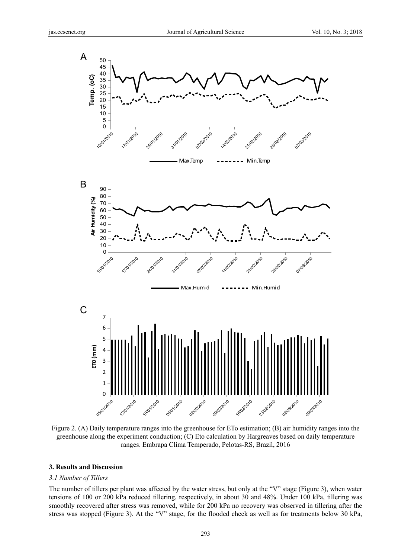

Figure 2. (A) Daily temperature ranges into the greenhouse for ETo estimation; (B) air humidity ranges into the greenhouse along the experiment conduction; (C) Eto calculation by Hargreaves based on daily temperature ranges. Embrapa Clima Temperado, Pelotas-RS, Brazil, 2016

#### **3. Results and Discussion**

#### *3.1 Number of Tillers*

The number of tillers per plant was affected by the water stress, but only at the "V" stage (Figure 3), when water tensions of 100 or 200 kPa reduced tillering, respectively, in about 30 and 48%. Under 100 kPa, tillering was smoothly recovered after stress was removed, while for 200 kPa no recovery was observed in tillering after the stress was stopped (Figure 3). At the "V" stage, for the flooded check as well as for treatments below 30 kPa,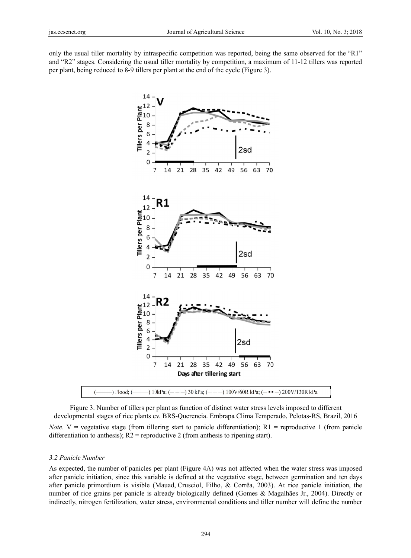only the usual tiller mortality by intraspecific competition was reported, being the same observed for the "R1" and "R2" stages. Considering the usual tiller mortality by competition, a maximum of 11-12 tillers was reported per plant, being reduced to 8-9 tillers per plant at the end of the cycle (Figure 3).



Figure 3. Number of tillers per plant as function of distinct water stress levels imposed to different developmental stages of rice plants cv. BRS-Querencia. Embrapa Clima Temperado, Pelotas-RS, Brazil, 2016 *Note*.  $V =$  vegetative stage (from tillering start to panicle differentiation); R1 = reproductive 1 (from panicle differentiation to anthesis);  $R2$  = reproductive 2 (from anthesis to ripening start).

#### *3.2 Panicl le Number*

differentiation to anthesis); R2 = reproductive 2 (from anthesis to ripening start).<br>3.2 Panicle Number<br>As expected, the number of panicles per plant (Figure 4A) was not affected when the water stress was imposed after panicle initiation, since this variable is defined at the vegetative stage, between germination and ten days after panicle primordium is visible (Mauad, Crusciol, Filho, & Corrêa, 2003). At rice panicle initiation, the number of rice grains per panicle is already biologically defined (Gomes & Magalhães Jr., 2004). Directly or indirectly, nitrogen fertilization, water stress, environmental conditions and tiller number will define the number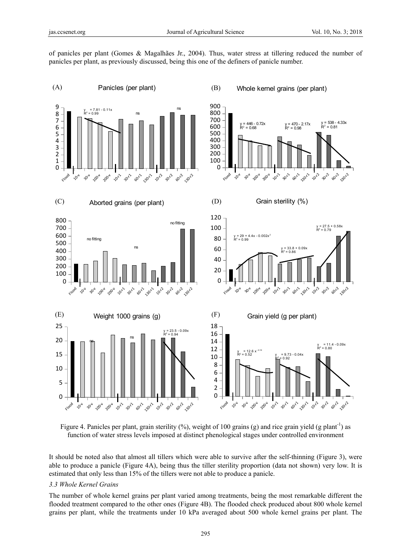of panicles per plant (Gomes & Magalhães Jr., 2004). Thus, water stress at tillering reduced the number of panicles per plant, as previously discussed, being this one of the definers of panicle number.



Figure 4. Panicles per plant, grain sterility  $(\%)$ , weight of 100 grains (g) and rice grain yield (g plant<sup>-1</sup>) as function of water stress levels imposed at distinct phenological stages under controlled environment

It should be noted also that almost all tillers which were able to survive after the self-thinning (Figure 3), were able to produce a panicle (Figure 4A), being thus the tiller sterility proportion (data not shown) very low. It is estimated that only less than 15% of the tillers were not able to produce a panicle.

#### *3.3 Whole Kernel Grains*

The number of whole kernel grains per plant varied among treatments, being the most remarkable different the flooded treatment compared to the other ones (Figure 4B). The flooded check produced about 800 whole kernel grains per plant, while the treatments under 10 kPa averaged about 500 whole kernel grains per plant. The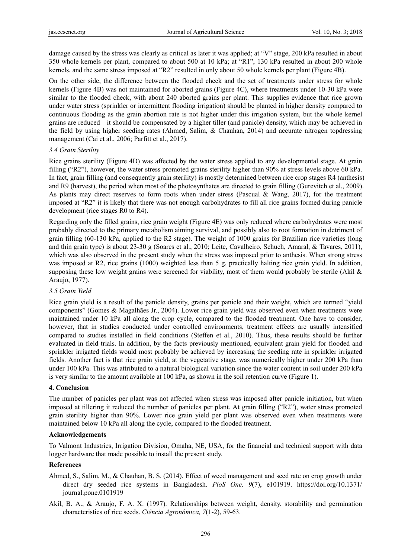damage caused by the stress was clearly as critical as later it was applied; at "V" stage, 200 kPa resulted in about 350 whole kernels per plant, compared to about 500 at 10 kPa; at "R1", 130 kPa resulted in about 200 whole kernels, and the same stress imposed at "R2" resulted in only about 50 whole kernels per plant (Figure 4B).

On the other side, the difference between the flooded check and the set of treatments under stress for whole kernels (Figure 4B) was not maintained for aborted grains (Figure 4C), where treatments under 10-30 kPa were similar to the flooded check, with about 240 aborted grains per plant. This supplies evidence that rice grown under water stress (sprinkler or intermittent flooding irrigation) should be planted in higher density compared to continuous flooding as the grain abortion rate is not higher under this irrigation system, but the whole kernel grains are reduced—it should be compensated by a higher tiller (and panicle) density, which may be achieved in the field by using higher seeding rates (Ahmed, Salim, & Chauhan, 2014) and accurate nitrogen topdressing management (Cai et al., 2006; Parfitt et al., 2017).

## *3.4 Grain Sterility*

Rice grains sterility (Figure 4D) was affected by the water stress applied to any developmental stage. At grain filling ("R2"), however, the water stress promoted grains sterility higher than 90% at stress levels above 60 kPa. In fact, grain filling (and consequently grain sterility) is mostly determined between rice crop stages R4 (anthesis) and R9 (harvest), the period when most of the photosynthates are directed to grain filling (Gurevitch et al., 2009). As plants may direct reserves to form roots when under stress (Pascual & Wang, 2017), for the treatment imposed at "R2" it is likely that there was not enough carbohydrates to fill all rice grains formed during panicle development (rice stages R0 to R4).

Regarding only the filled grains, rice grain weight (Figure 4E) was only reduced where carbohydrates were most probably directed to the primary metabolism aiming survival, and possibly also to root formation in detriment of grain filling (60-130 kPa, applied to the R2 stage). The weight of 1000 grains for Brazilian rice varieties (long and thin grain type) is about 23-30 g (Soares et al., 2010; Leite, Cavalheiro, Schuch, Amaral, & Tavares, 2011), which was also observed in the present study when the stress was imposed prior to anthesis. When strong stress was imposed at R2, rice grains (1000) weighted less than 5 g, practically halting rice grain yield. In addition, supposing these low weight grains were screened for viability, most of them would probably be sterile (Akil  $\&$ Araujo, 1977).

## *3.5 Grain Yield*

Rice grain yield is a result of the panicle density, grains per panicle and their weight, which are termed "yield components" (Gomes & Magalhães Jr., 2004). Lower rice grain yield was observed even when treatments were maintained under 10 kPa all along the crop cycle, compared to the flooded treatment. One have to consider, however, that in studies conducted under controlled environments, treatment effects are usually intensified compared to studies installed in field conditions (Steffen et al., 2010). Thus, these results should be further evaluated in field trials. In addition, by the facts previously mentioned, equivalent grain yield for flooded and sprinkler irrigated fields would most probably be achieved by increasing the seeding rate in sprinkler irrigated fields. Another fact is that rice grain yield, at the vegetative stage, was numerically higher under 200 kPa than under 100 kPa. This was attributed to a natural biological variation since the water content in soil under 200 kPa is very similar to the amount available at 100 kPa, as shown in the soil retention curve (Figure 1).

## **4. Conclusion**

The number of panicles per plant was not affected when stress was imposed after panicle initiation, but when imposed at tillering it reduced the number of panicles per plant. At grain filling ("R2"), water stress promoted grain sterility higher than 90%. Lower rice grain yield per plant was observed even when treatments were maintained below 10 kPa all along the cycle, compared to the flooded treatment.

## **Acknowledgements**

To Valmont Industries, Irrigation Division, Omaha, NE, USA, for the financial and technical support with data logger hardware that made possible to install the present study.

## **References**

- Ahmed, S., Salim, M., & Chauhan, B. S. (2014). Effect of weed management and seed rate on crop growth under direct dry seeded rice systems in Bangladesh. *PloS One, 9*(7), e101919. https://doi.org/10.1371/ journal.pone.0101919
- Akil, B. A., & Araujo, F. A. X. (1997). Relationships between weight, density, storability and germination characteristics of rice seeds. *Ciência Agronômica, 7*(1-2), 59-63.